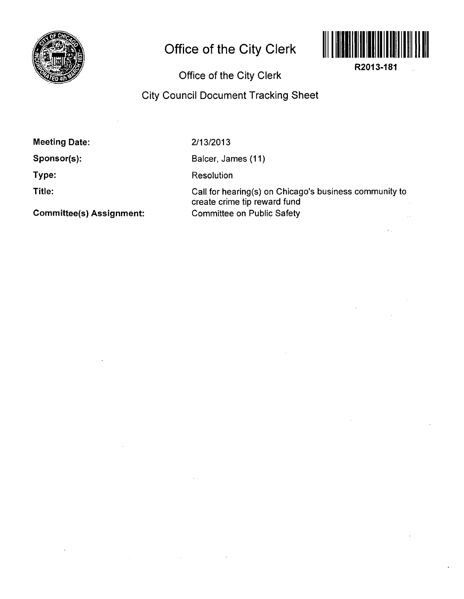

## **Office of the City Clerk**



**R2013-181** 

## Office of the City Clerk

## City Council Document Tracking Sheet

Meeting Date:

Sponsor(s):

Type:

Title:

Committee(s) Assignment:

2/13/2013

Balcer, James (11)

Resolution

Call for hearing(s) on Chicago's business community to create crime tip reward fund Committee on Public Safety